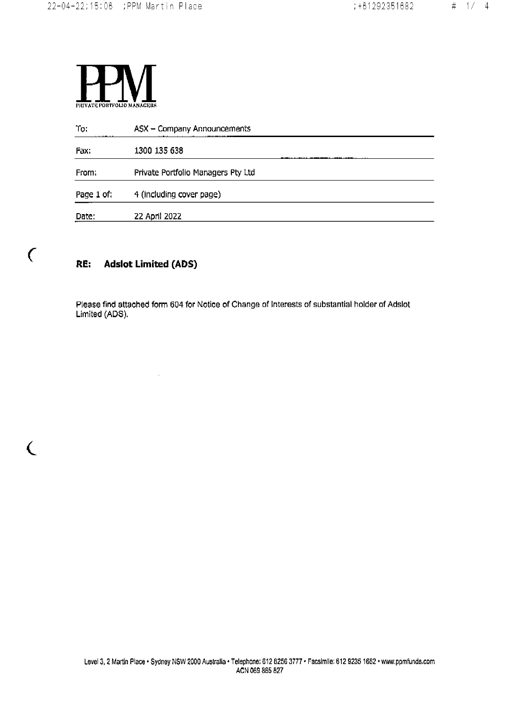

| To:<br>.   | ASX - Company Announcements<br>.<br>. |
|------------|---------------------------------------|
| Fax:       | 1300 135 638                          |
| From:      | Private Portfolio Managers Pty Ltd    |
| Page 1 of: | 4 (including cover page)              |
| Date:      | 22 April 2022                         |

#### **Adslot Limited (ADS)** RE:

 $\alpha$ 

 $\overline{C}$ 

€

Please find attached form 604 for Notice of Change of Interests of substantial holder of Adslot Limited (ADS).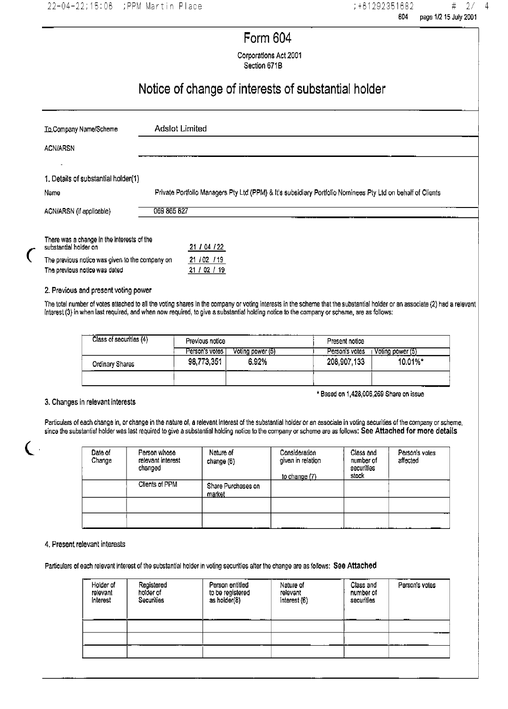## **Form 604**

Corporations Act 2001

Section 671B

## Notice of change of interests of substantial holder

| To Company Name/Scheme                          | Adslot Limited                                                                                             |
|-------------------------------------------------|------------------------------------------------------------------------------------------------------------|
| <b>ACN/ARSN</b>                                 |                                                                                                            |
|                                                 |                                                                                                            |
| 1. Details of substantial holder(1)             |                                                                                                            |
| Name                                            | Private Portfolio Managers Pty Ltd (PPM) & It's subsidiary Portfolio Nominees Pty Ltd on behalf of Clients |
| ACN/ARSN (if applicable)                        | 069 865 827                                                                                                |
| There was a change in the interests of the      |                                                                                                            |
| substantial holder on                           | 21 / 04 / 22                                                                                               |
| The previous notice was given to the company on | 21 / 02 / 19                                                                                               |
| The previous notice was dated                   | 21 / 02 / 19                                                                                               |

#### 2. Previous and present voting power

 $\overline{C}$ 

 $\epsilon$ 

The total number of votes attached to all the voting shares in the company or voting interests in the scheme that the substantial holder or an associate (2) had a relevant interest (3) in when last required, and when now required, to give a substantial holding notice to the company or scheme, are as follows:

| Class of securities (4) | Previous notice |                  | Present notice |                  |
|-------------------------|-----------------|------------------|----------------|------------------|
|                         | Person's votes  | Voting power (5) | Person's votes | Voting power (5) |
| Ordinary Shares         | 98,773,351      | 6.92%            | 208 907 133    | 10.01%*          |
|                         |                 |                  |                |                  |

#### 3. Changes in relevant interests

\* Based on 1,428,006,269 Share on issue

Particulars of each change in, or change in the nature of, a relevant interest of the substantial holder or an associate in voting securities of the company or scheme, since the substantial holder was last required to give a substantial holding notice to the company or scheme are as follows; See Attached for more details

| Date of<br>Change | Person whose<br>relevant interest<br>changed | Nature of<br>change (6)      | Consideration<br>given in relation<br>to change (7) | Class and<br>number of<br>securities<br>stock | Person's votes<br>affected |
|-------------------|----------------------------------------------|------------------------------|-----------------------------------------------------|-----------------------------------------------|----------------------------|
|                   | Clients of PPM                               | Share Purchases on<br>market |                                                     |                                               |                            |
|                   |                                              |                              |                                                     |                                               |                            |
|                   |                                              |                              |                                                     |                                               |                            |

#### 4. Present relevant interests

Particulars of each relevant interest of the substantial holder in voting securities after the change are as follows: See Attached

| Holder of<br>relevant<br>interest | Registered<br>holder of<br>Securities | Person entitled<br>to be registered<br>as holder(8)<br> | Nature of<br>relevant<br>interest (6) | Class and<br>number of<br>securities | Person's votes |
|-----------------------------------|---------------------------------------|---------------------------------------------------------|---------------------------------------|--------------------------------------|----------------|
|                                   |                                       |                                                         |                                       |                                      |                |
|                                   |                                       |                                                         |                                       |                                      |                |
|                                   |                                       |                                                         |                                       |                                      |                |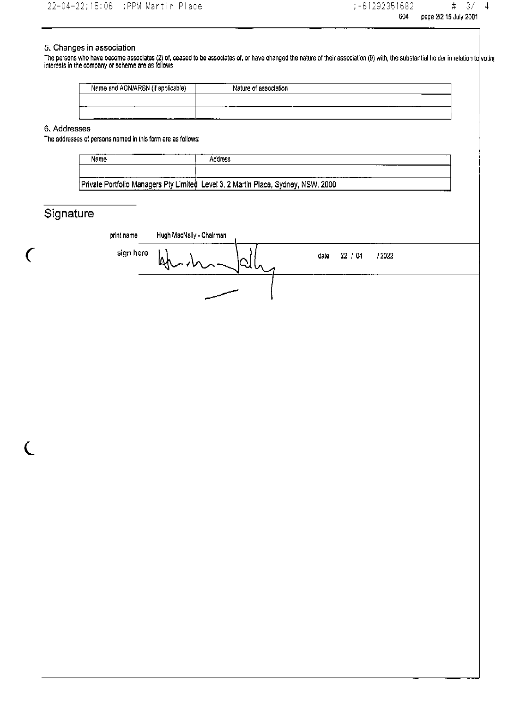### 5. Changes in association

The persons who have become associates (2) of, ceased to be associates of, or have changed the nature of their association (9) with, the substantial holder in relation to voting<br>interests in the company or scheme are as f

| .<br><br>Name and ACN/ARSN<br>`applicable, | Nature of association |
|--------------------------------------------|-----------------------|
|                                            | -------<br>-------    |
| ---<br>-----<br>--                         | ----- -               |

6. Addresses

The addresses of persons named in this form are as follows:

| Name | Address                                                                           |
|------|-----------------------------------------------------------------------------------|
|      |                                                                                   |
|      | Private Portfolio Managers Pty Limited Level 3, 2 Martin Place, Sydney, NSW, 2000 |

## Signature

 $\overline{C}$ 

 $\overline{C}$ 

| print name | Hugh MacNally - Chairman |      |         |       |  |
|------------|--------------------------|------|---------|-------|--|
| sign here  | kh<br>ハンニード              | date | 22 / 04 | /2022 |  |
|            |                          |      |         |       |  |